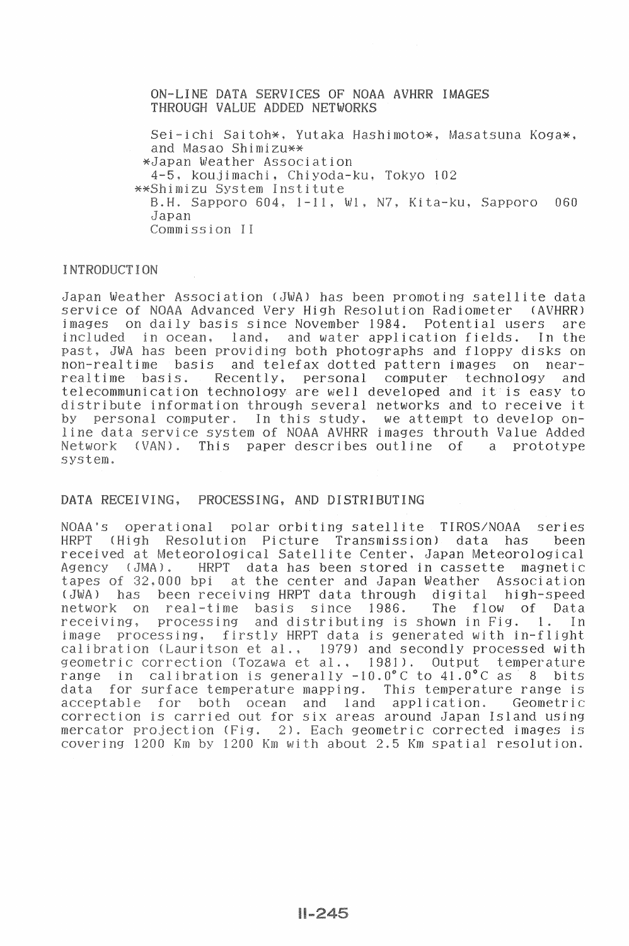ON-LINE DATA SERVICES OF NOAA AVHRR IMAGES THROUGH VALUE ADDED NETWORKS

Sei-ichi Saitoh\*, Yutaka Hashimoto\*, Masatsuna Koga\*, and Masao Shimizu\*\* \*Japan Weather Association 4-5, koujimachi, Chiyoda-ku, Tokyo 102 \*\*Shimizu System Institute B.H. Sapporo 604, 1-11, W1, N7, Kita-ku, Sapporo 060 Japan Commission II

## **INTRODUCTION**

Japan Weather Association (JWA) has been promoting satellite data service of NOAA Advanced Very High Resolution Radiometer (AVHRR) on daily basis since November 1984. images Potential users are included in ocean. land. and water application fields. In the past, JWA has been providing both photographs and floppy disks on basis and telefax dotted pattern images on non-realtime  $n\rho$ ar-Recently, personal computer technology realtime basis. and telecommunication technology are well developed and it is easy to distribute information through several networks and to receive it In this study, we attempt to develop onpersonal computer.  $hv$ line data service system of NOAA AVHRR images throuth Value Added This paper describes outline Network  $(VAN)$ .  $\Omega$ prototype  $\mathbf{a}$ system.

## DATA RECEIVING, PROCESSING, AND DISTRIBUTING

NOAA'S operational polar orbiting satellite TIROS/NOAA series **HRPT** (High Resolution Picture Transmission) data has been received at Meteorological Satellite Center, Japan Meteorological  $(MA)$ . **HRPT** data has been stored in cassette magnetic Agency tapes of 32,000 bpi at the center and Japan Weather Association  $(AW<sub>L</sub>)$ has been receiving HRPT data through digital high-speed The flow network real-time basis since 1986.  $\Omega$ Data on receiving. processing and distributing is shown in Fig.  $1$ . T<sub>n</sub> firstly HRPT data is generated with in-flight processing, image calibration (Lauritson et al., 1979) and secondly processed with geometric correction (Tozawa et al., 1981). Output temperature calibration is generally  $-10.0^{\circ}$ C to  $41.0^{\circ}$ C as range i n 8 bits for surface temperature mapping. This temperature range is data acceptable for both. and land application. Geometric ocean correction is carried out for six areas around Japan Island using mercator projection (Fig. 2). Each geometric corrected images is covering 1200 Km by 1200 Km with about 2.5 Km spatial resolution.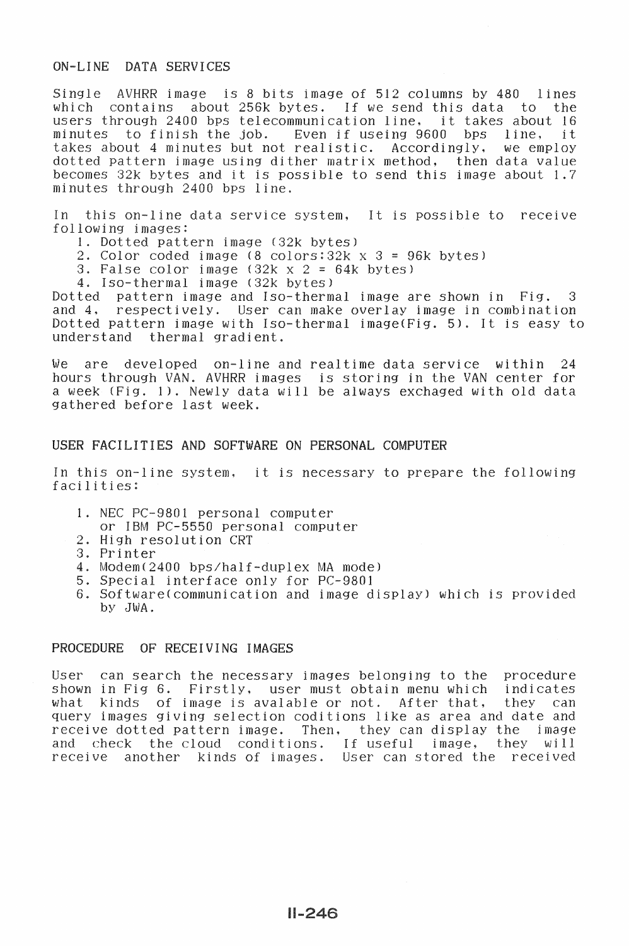# ON-LINE DATA SERVICES

Single AVHRR image is 8 bits image of 512 columns by 480 lines<br>which contains about 256k bytes. If we send this data to the contains about 256k bytes. If we send this data to the through 2400 bps telecommunication line, it takes about 16 users through 2400 bps telecommunication line, it takes about 16<br>minutes to finish the job. Even if useing 9600 bps line, it Even if useing 9600 bps line, it<br>realistic. Accordingly, we employ takes about 4 minutes but not realistic. dotted pattern image using dither matrix method, then data value becomes 32k bytes and it is possible to send this image about 1.7 minutes through 2400 bps line.

In this on-line data service system, It is possible to receive following images:

- 1. Dotted pattern image (32k bytes)
- 2. Color coded image  $(8 \text{ colors} : 32k \times 3 = 96k \text{ bytes})$
- 3. False color image  $(32k \times 2 = 64k$  bytes)
- 4. Iso-thermal image (32k bytes)<br>Dotted pattern image and Iso-therm

Dotted pattern image and Iso-thermal image are shown in Fig. 3 respectively. User can make overlay image in combination Dotted pattern image with Iso-thermal image(Fig. 5). It is easy to understand thermal gradient.

We are developed on-line and realtime data service within 24 hours through VAN. AVHRR images is storing in the VAN center for a week (Fig. 1). Newly data will be always exchaged with old data gathered before last week.

#### USER FACILITIES AND SOFTWARE ON PERSONAL COMPUTER

In this on-line system, it is necessary to prepare following facilities:

- 1. NEC PC-9801 personal computer
- or IBM PC-5550 personal computer
- 2. High resolution CRT
- 3. Printer
- 4. ModemC2400 bps/half-duplex MA model
- 5. Special interface only for PC-9801
- 6. Software(communication and image display) which is provided by JWA.

## PROCEDURE OF RECEIVING IMAGES

User can search the necessary images belonging to the procedure shown in Fig 6. Firstly, user must obtain menu which indicated what kinds of image is avalable or not. After that, they what kinds of image is avalable or not. After that, they can query images giving selection coditions like as area and date and receive dotted pattern image. Then, they can display the image<br>and check the cloud conditions. If useful image, they will and check the cloud conditions. If useful image, they will receive another kinds of images. User can stored the received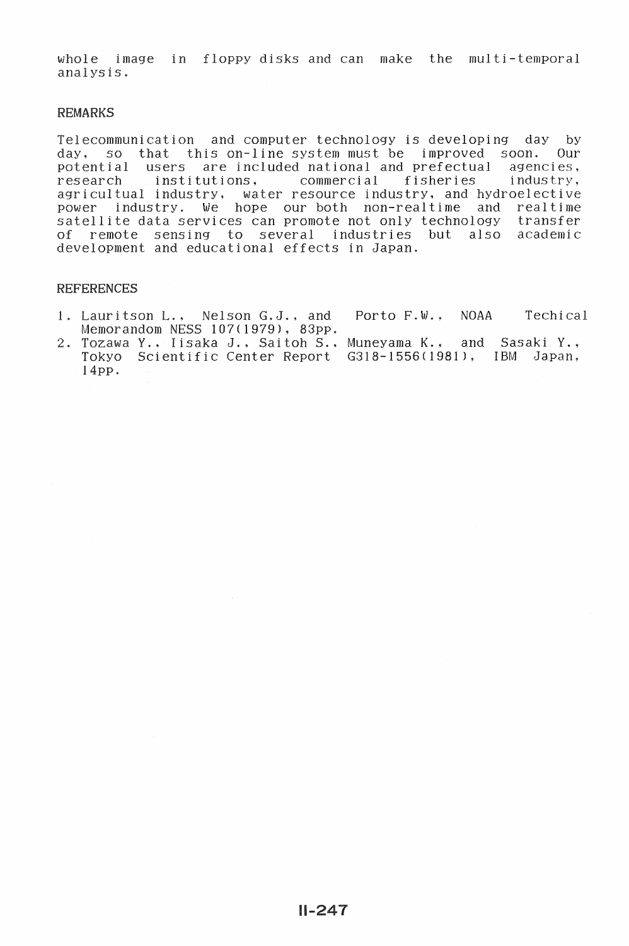whole image in floppy disks and can make the multi-temporal analysis.

#### REMARKS

Telecommunication and computer technology is developing day by day, so that this on-line system must be improved soon. Our potential users are included national and prefectual agencies, research institutions. agricultual industry, water resource industry, and hydroelective power industry. *We* hope our both non-realtime and realtime ellite data services can promote not only technology transfer of remote sensing to several industries but also academic development and educational effects in Japan.

## REFERENCES

- 1. Lauritson L., Nelson G.J., and Porto F.W., NOAA Memorandom NESS 107(1979), 83pp. Techical
- 2. Tozawa Y., Iisaka J., Saitoh S., Muneyama K., and Sasaki Y.,<br>Tokyo Scientific Center Report G318-1556(1981), IBM Japan,  $14$ pp. G318-1556(1981), IBM Japan,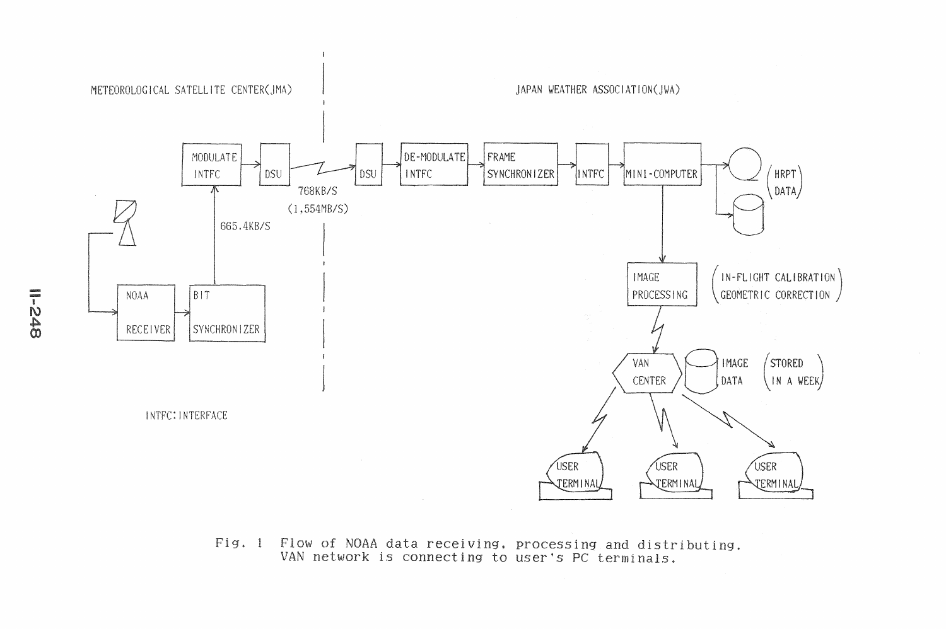

Fig. 1 Flow of NOAA data receiving, processing and distributing. VAN network is connecting to user's PC terminals.

 $\frac{1}{2}$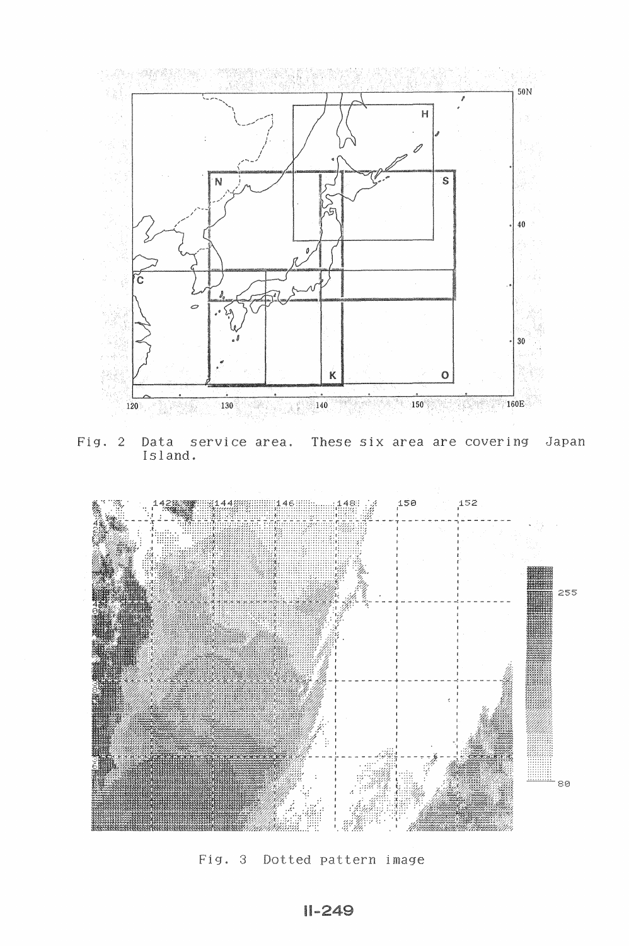

 $Fig. 2$ Data service area. These six area are covering Japan Island.



Fig. 3 Dotted pattern image

 $11 - 249$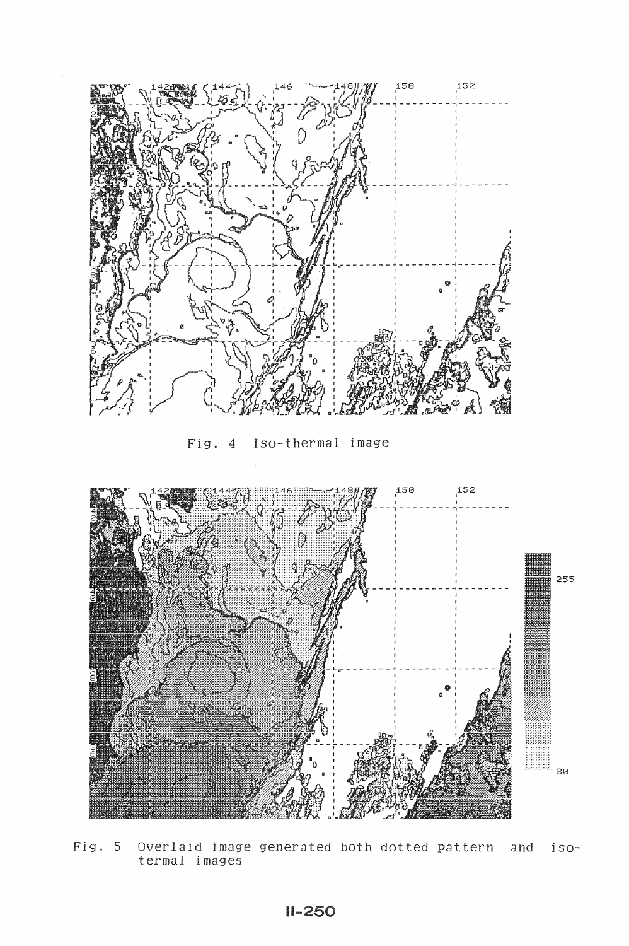

Fig. 4 Iso-thermal image



Fig. 5 Overlaid image generated both dotted pattern and iso-<br>termal images